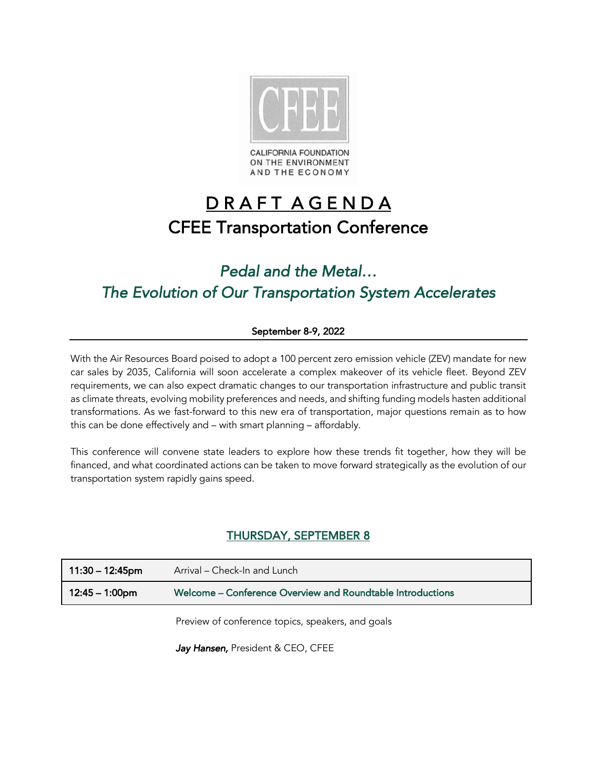

**CALIFORNIA FOUNDATION** ON THE ENVIRONMENT AND THE ECONOMY

# D R A F T A G E N D A CFEE Transportation Conference

# *Pedal and the Metal… The Evolution of Our Transportation System Accelerates*

# September 8-9, 2022

With the Air Resources Board poised to adopt a 100 percent zero emission vehicle (ZEV) mandate for new car sales by 2035, California will soon accelerate a complex makeover of its vehicle fleet. Beyond ZEV requirements, we can also expect dramatic changes to our transportation infrastructure and public transit as climate threats, evolving mobility preferences and needs, and shifting funding models hasten additional transformations. As we fast-forward to this new era of transportation, major questions remain as to how this can be done effectively and – with smart planning – affordably.

This conference will convene state leaders to explore how these trends fit together, how they will be financed, and what coordinated actions can be taken to move forward strategically as the evolution of our transportation system rapidly gains speed.

# THURSDAY, SEPTEMBER 8

| $11:30 - 12:45$ pm | Arrival – Check-In and Lunch                               |
|--------------------|------------------------------------------------------------|
| 12:45 – 1:00pm     | Welcome – Conference Overview and Roundtable Introductions |
|                    |                                                            |

Preview of conference topics, speakers, and goals

Jay Hansen, President & CEO, CFEE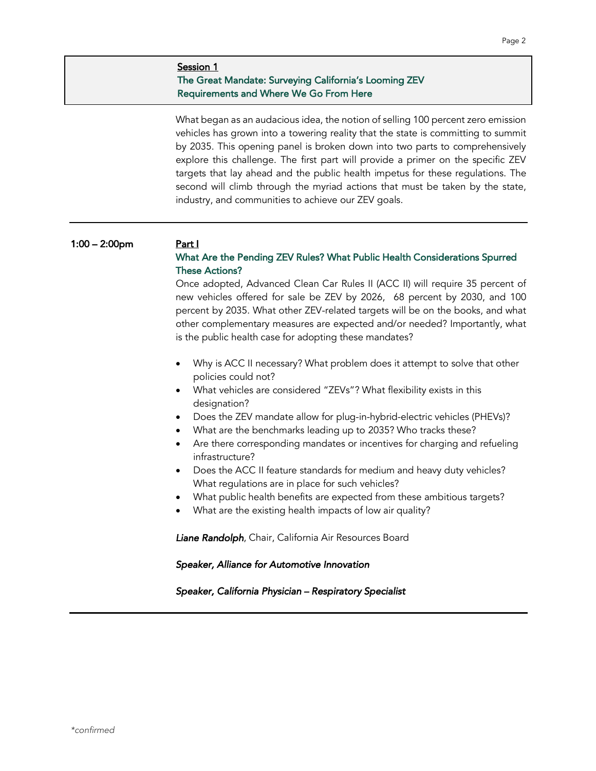# Session 1 The Great Mandate: Surveying California's Looming ZEV Requirements and Where We Go From Here

What began as an audacious idea, the notion of selling 100 percent zero emission vehicles has grown into a towering reality that the state is committing to summit by 2035. This opening panel is broken down into two parts to comprehensively explore this challenge. The first part will provide a primer on the specific ZEV targets that lay ahead and the public health impetus for these regulations. The second will climb through the myriad actions that must be taken by the state, industry, and communities to achieve our ZEV goals.

#### 1:00 – 2:00pm Part I

# What Are the Pending ZEV Rules? What Public Health Considerations Spurred These Actions?

Once adopted, Advanced Clean Car Rules II (ACC II) will require 35 percent of new vehicles offered for sale be ZEV by 2026, 68 percent by 2030, and 100 percent by 2035. What other ZEV-related targets will be on the books, and what other complementary measures are expected and/or needed? Importantly, what is the public health case for adopting these mandates?

- Why is ACC II necessary? What problem does it attempt to solve that other policies could not?
- What vehicles are considered "ZEVs"? What flexibility exists in this designation?
- Does the ZEV mandate allow for plug-in-hybrid-electric vehicles (PHEVs)?
- What are the benchmarks leading up to 2035? Who tracks these?
- Are there corresponding mandates or incentives for charging and refueling infrastructure?
- Does the ACC II feature standards for medium and heavy duty vehicles? What regulations are in place for such vehicles?
- What public health benefits are expected from these ambitious targets?
- What are the existing health impacts of low air quality?

*Liane Randolph*, Chair, California Air Resources Board

 *Speaker, Alliance for Automotive Innovation* 

 *Speaker, California Physician – Respiratory Specialist*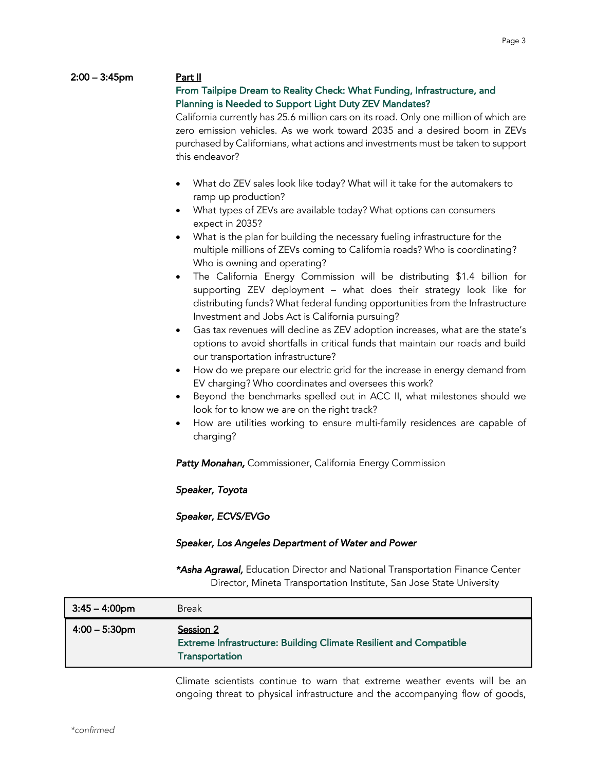#### 2:00 – 3:45pm Part II

# From Tailpipe Dream to Reality Check: What Funding, Infrastructure, and Planning is Needed to Support Light Duty ZEV Mandates?

California currently has 25.6 million cars on its road. Only one million of which are zero emission vehicles. As we work toward 2035 and a desired boom in ZEVs purchased by Californians, what actions and investments must be taken to support this endeavor?

- What do ZEV sales look like today? What will it take for the automakers to ramp up production?
- What types of ZEVs are available today? What options can consumers expect in 2035?
- What is the plan for building the necessary fueling infrastructure for the multiple millions of ZEVs coming to California roads? Who is coordinating? Who is owning and operating?
- The California Energy Commission will be distributing \$1.4 billion for supporting ZEV deployment – what does their strategy look like for distributing funds? What federal funding opportunities from the Infrastructure Investment and Jobs Act is California pursuing?
- Gas tax revenues will decline as ZEV adoption increases, what are the state's options to avoid shortfalls in critical funds that maintain our roads and build our transportation infrastructure?
- How do we prepare our electric grid for the increase in energy demand from EV charging? Who coordinates and oversees this work?
- Beyond the benchmarks spelled out in ACC II, what milestones should we look for to know we are on the right track?
- How are utilities working to ensure multi-family residences are capable of charging?

*Patty Monahan,* Commissioner, California Energy Commission

 *Speaker, Toyota* 

 *Speaker, ECVS/EVGo* 

#### *Speaker, Los Angeles Department of Water and Power*

 *\*Asha Agrawal,* Education Director and National Transportation Finance Center Director, Mineta Transportation Institute, San Jose State University

| $3:45 - 4:00$ pm | <b>Break</b>                                                                                            |
|------------------|---------------------------------------------------------------------------------------------------------|
| $4:00 - 5:30$ pm | Session 2<br><b>Extreme Infrastructure: Building Climate Resilient and Compatible</b><br>Transportation |

Climate scientists continue to warn that extreme weather events will be an ongoing threat to physical infrastructure and the accompanying flow of goods,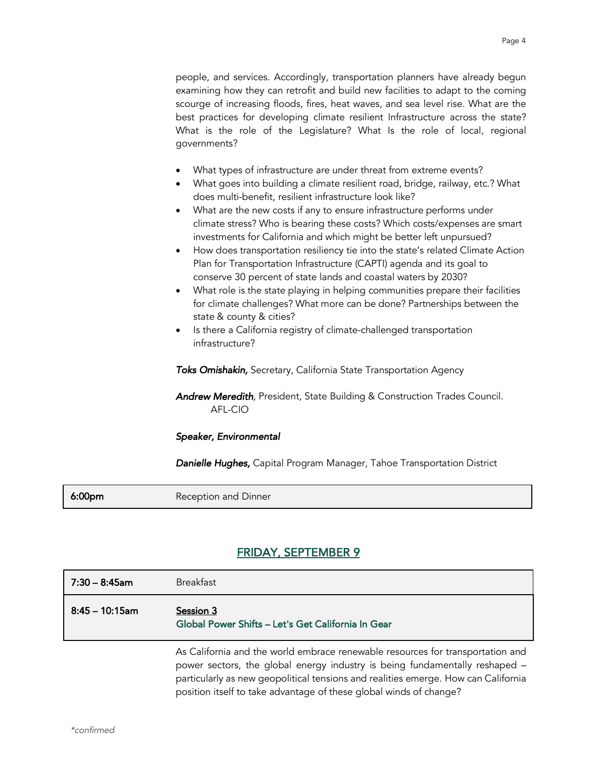people, and services. Accordingly, transportation planners have already begun examining how they can retrofit and build new facilities to adapt to the coming scourge of increasing floods, fires, heat waves, and sea level rise. What are the best practices for developing climate resilient Infrastructure across the state? What is the role of the Legislature? What Is the role of local, regional governments?

- What types of infrastructure are under threat from extreme events?
- What goes into building a climate resilient road, bridge, railway, etc.? What does multi-benefit, resilient infrastructure look like?
- What are the new costs if any to ensure infrastructure performs under climate stress? Who is bearing these costs? Which costs/expenses are smart investments for California and which might be better left unpursued?
- How does transportation resiliency tie into the state's related Climate Action Plan for Transportation Infrastructure (CAPTI) agenda and its goal to conserve 30 percent of state lands and coastal waters by 2030?
- What role is the state playing in helping communities prepare their facilities for climate challenges? What more can be done? Partnerships between the state & county & cities?
- Is there a California registry of climate-challenged transportation infrastructure?

 *Toks Omishakin,* Secretary, California State Transportation Agency

*Andrew Meredith*, President, State Building & Construction Trades Council. AFL-CIO

#### *Speaker, Environmental*

 *Danielle Hughes,* Capital Program Manager, Tahoe Transportation District

**6:00pm** Reception and Dinner

# FRIDAY, SEPTEMBER 9

| 7:30 – 8:45am     | <b>Breakfast</b>                                                               |
|-------------------|--------------------------------------------------------------------------------|
| $8:45 - 10:15$ am | Session 3<br>Global Power Shifts - Let's Get California In Gear                |
|                   | As California and the world embrace renewable resources for transportation and |

power sectors, the global energy industry is being fundamentally reshaped – particularly as new geopolitical tensions and realities emerge. How can California position itself to take advantage of these global winds of change?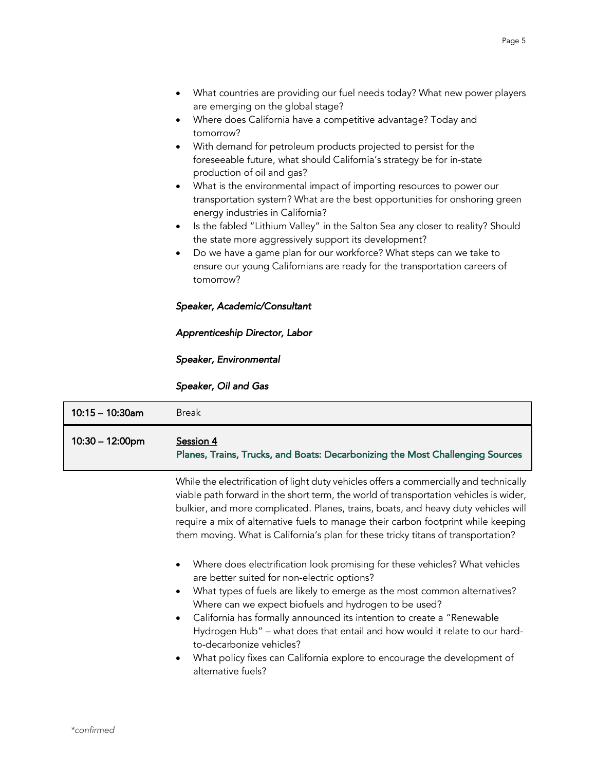- What countries are providing our fuel needs today? What new power players are emerging on the global stage?
- Where does California have a competitive advantage? Today and tomorrow?
- With demand for petroleum products projected to persist for the foreseeable future, what should California's strategy be for in-state production of oil and gas?
- What is the environmental impact of importing resources to power our transportation system? What are the best opportunities for onshoring green energy industries in California?
- Is the fabled "Lithium Valley" in the Salton Sea any closer to reality? Should the state more aggressively support its development?
- Do we have a game plan for our workforce? What steps can we take to ensure our young Californians are ready for the transportation careers of tomorrow?

## *Speaker, Academic/Consultant*

## *Apprenticeship Director, Labor*

## *Speaker, Environmental*

## *Speaker, Oil and Gas*

| $10:15 - 10:30$ am        | <b>Break</b>                                                                               |
|---------------------------|--------------------------------------------------------------------------------------------|
| $10:30 - 12:00 \text{pm}$ | Session 4<br>Planes, Trains, Trucks, and Boats: Decarbonizing the Most Challenging Sources |

While the electrification of light duty vehicles offers a commercially and technically viable path forward in the short term, the world of transportation vehicles is wider, bulkier, and more complicated. Planes, trains, boats, and heavy duty vehicles will require a mix of alternative fuels to manage their carbon footprint while keeping them moving. What is California's plan for these tricky titans of transportation?

- Where does electrification look promising for these vehicles? What vehicles are better suited for non-electric options?
- What types of fuels are likely to emerge as the most common alternatives? Where can we expect biofuels and hydrogen to be used?
- California has formally announced its intention to create a "Renewable Hydrogen Hub" – what does that entail and how would it relate to our hardto-decarbonize vehicles?
- What policy fixes can California explore to encourage the development of alternative fuels?